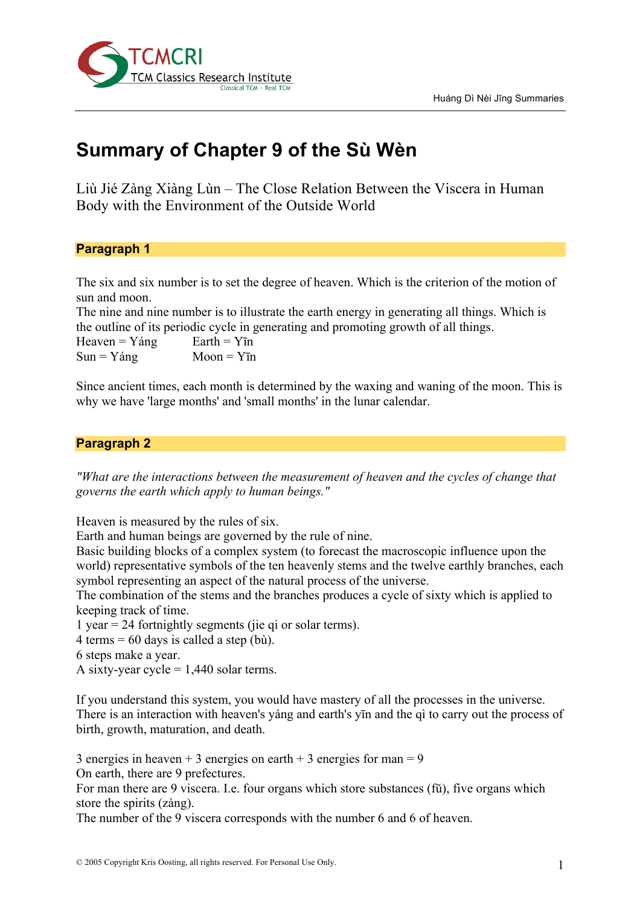

# **Summary of Chapter 9 of the Sù Wèn**

Liù Jié Zàng Xiàng Lùn – The Close Relation Between the Viscera in Human Body with the Environment of the Outside World

### **Paragraph 1**

The six and six number is to set the degree of heaven. Which is the criterion of the motion of sun and moon.

The nine and nine number is to illustrate the earth energy in generating all things. Which is the outline of its periodic cycle in generating and promoting growth of all things.

Heaven =  $Yáng$  Earth =  $YIn$  $Sun = Yáng$   $Moon = YIn$ 

Since ancient times, each month is determined by the waxing and waning of the moon. This is why we have 'large months' and 'small months' in the lunar calendar.

#### **Paragraph 2**

*"What are the interactions between the measurement of heaven and the cycles of change that governs the earth which apply to human beings."*

Heaven is measured by the rules of six.

Earth and human beings are governed by the rule of nine.

Basic building blocks of a complex system (to forecast the macroscopic influence upon the world) representative symbols of the ten heavenly stems and the twelve earthly branches, each symbol representing an aspect of the natural process of the universe.

The combination of the stems and the branches produces a cycle of sixty which is applied to keeping track of time.

1 year = 24 fortnightly segments (jie qi or solar terms).

 $4$  terms = 60 days is called a step (bù).

6 steps make a year.

A sixty-year cycle  $= 1,440$  solar terms.

If you understand this system, you would have mastery of all the processes in the universe. There is an interaction with heaven's yáng and earth's yīn and the qì to carry out the process of birth, growth, maturation, and death.

3 energies in heaven  $+$  3 energies on earth  $+$  3 energies for man = 9 On earth, there are 9 prefectures.

For man there are 9 viscera. I.e. four organs which store substances (fŭ), five organs which store the spirits (zàng).

The number of the 9 viscera corresponds with the number 6 and 6 of heaven.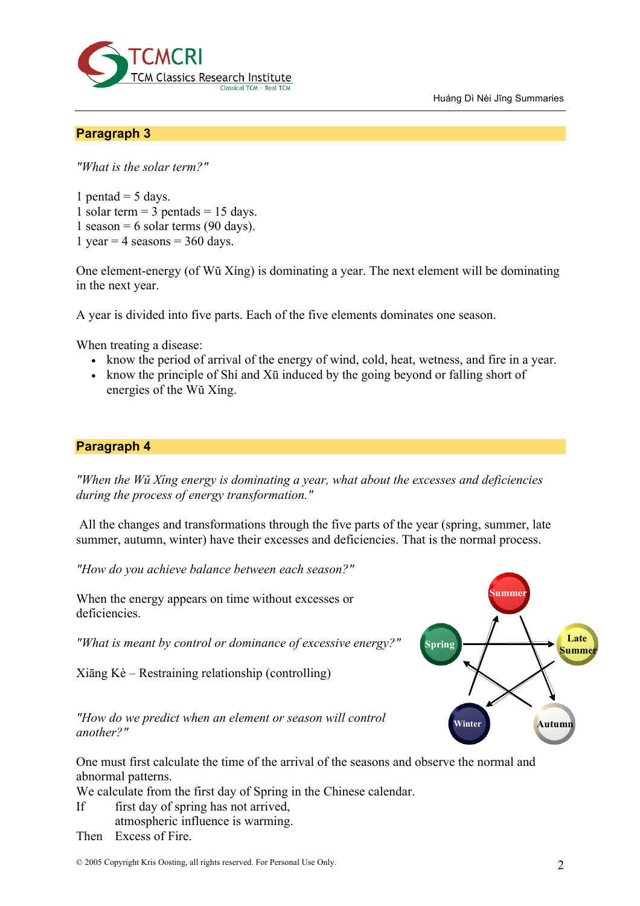Huáng Dì Nèi Jīng Summaries



## **Paragraph 3**

*"What is the solar term?"*

1 pentad  $=$  5 days. 1 solar term  $=$  3 pentads  $=$  15 days. 1 season = 6 solar terms (90 days). 1 year = 4 seasons =  $360$  days.

One element-energy (of Wŭ Xíng) is dominating a year. The next element will be dominating in the next year.

A year is divided into five parts. Each of the five elements dominates one season.

When treating a disease:

- know the period of arrival of the energy of wind, cold, heat, wetness, and fire in a year.
- know the principle of Shi and Xū induced by the going beyond or falling short of energies of the Wŭ Xíng.

# **Paragraph 4**

*"When the Wŭ Xíng energy is dominating a year, what about the excesses and deficiencies during the process of energy transformation."*

All the changes and transformations through the five parts of the year (spring, summer, late summer, autumn, winter) have their excesses and deficiencies. That is the normal process.

*"How do you achieve balance between each season?"*

When the energy appears on time without excesses or deficiencies.

*"What is meant by control or dominance of excessive energy?"*

Xiāng Kè – Restraining relationship (controlling)

*"How do we predict when an element or season will control another?"*

One must first calculate the time of the arrival of the seasons and observe the normal and abnormal patterns.

We calculate from the first day of Spring in the Chinese calendar.

- If first day of spring has not arrived,
	- atmospheric influence is warming.

Then Excess of Fire.

© 2005 Copyright Kris Oosting, all rights reserved. For Personal Use Only. 2

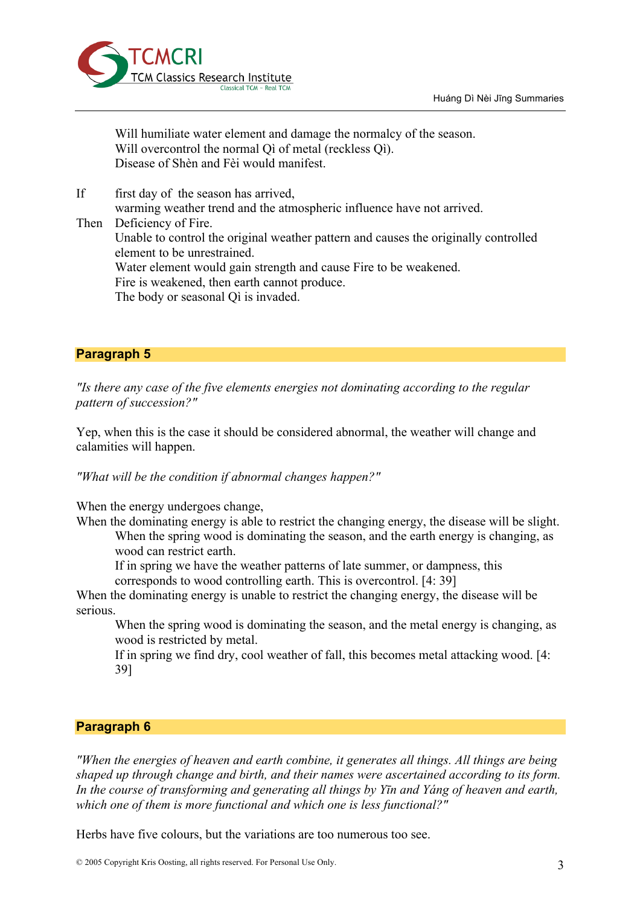

Will humiliate water element and damage the normalcy of the season. Will overcontrol the normal Oi of metal (reckless Oi). Disease of Shèn and Fèi would manifest.

If first day of the season has arrived, warming weather trend and the atmospheric influence have not arrived. Then Deficiency of Fire. Unable to control the original weather pattern and causes the originally controlled element to be unrestrained. Water element would gain strength and cause Fire to be weakened. Fire is weakened, then earth cannot produce. The body or seasonal Qì is invaded.

#### **Paragraph 5**

*"Is there any case of the five elements energies not dominating according to the regular pattern of succession?"*

Yep, when this is the case it should be considered abnormal, the weather will change and calamities will happen.

*"What will be the condition if abnormal changes happen?"*

When the energy undergoes change,

When the dominating energy is able to restrict the changing energy, the disease will be slight. When the spring wood is dominating the season, and the earth energy is changing, as wood can restrict earth.

If in spring we have the weather patterns of late summer, or dampness, this corresponds to wood controlling earth. This is overcontrol. [4: 39]

When the dominating energy is unable to restrict the changing energy, the disease will be serious.

When the spring wood is dominating the season, and the metal energy is changing, as wood is restricted by metal.

If in spring we find dry, cool weather of fall, this becomes metal attacking wood. [4: 39]

### **Paragraph 6**

*"When the energies of heaven and earth combine, it generates all things. All things are being shaped up through change and birth, and their names were ascertained according to its form. In the course of transforming and generating all things by Yīn and Yáng of heaven and earth, which one of them is more functional and which one is less functional?"*

Herbs have five colours, but the variations are too numerous too see.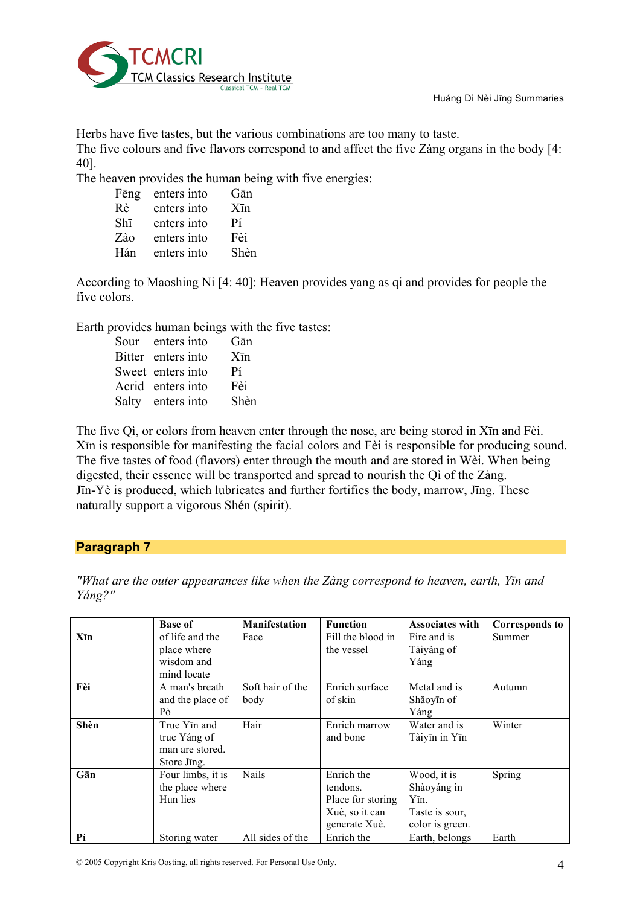

Herbs have five tastes, but the various combinations are too many to taste.

The five colours and five flavors correspond to and affect the five Zàng organs in the body [4: 40].

The heaven provides the human being with five energies:

| Fēng | enters into | Gān               |
|------|-------------|-------------------|
| Rè   | enters into | $X\bar{\text{m}}$ |
| Shī  | enters into | Pí                |
| Zào  | enters into | Fèi               |
| Hán  | enters into | Shèn              |

According to Maoshing Ni [4: 40]: Heaven provides yang as qi and provides for people the five colors.

Earth provides human beings with the five tastes:

| Sour enters into   | Gān               |
|--------------------|-------------------|
| Bitter enters into | $X\bar{\text{m}}$ |
| Sweet enters into  | Pí                |
| Acrid enters into  | Fèi               |
| Salty enters into  | Shèn              |

The five Qì, or colors from heaven enter through the nose, are being stored in Xīn and Fèi. Xīn is responsible for manifesting the facial colors and Fèi is responsible for producing sound. The five tastes of food (flavors) enter through the mouth and are stored in Wèi. When being digested, their essence will be transported and spread to nourish the Qì of the Zàng. Jīn-Yè is produced, which lubricates and further fortifies the body, marrow, Jīng. These naturally support a vigorous Shén (spirit).

# **Paragraph 7**

|      | <b>Base of</b>    | <b>Manifestation</b> | <b>Function</b>   | <b>Associates with</b> | <b>Corresponds to</b> |
|------|-------------------|----------------------|-------------------|------------------------|-----------------------|
| Xīn  | of life and the   | Face                 | Fill the blood in | Fire and is            | Summer                |
|      | place where       |                      | the vessel        | Tàiyáng of             |                       |
|      | wisdom and        |                      |                   | Yáng                   |                       |
|      | mind locate       |                      |                   |                        |                       |
| Fèi  | A man's breath    | Soft hair of the     | Enrich surface    | Metal and is           | Autumn                |
|      | and the place of  | body                 | of skin           | Shăoyīn of             |                       |
|      | Pò                |                      |                   | Yáng                   |                       |
| Shèn | True Yīn and      | Hair                 | Enrich marrow     | Water and is           | Winter                |
|      | true Yáng of      |                      | and bone          | Tàiyīn in Yīn          |                       |
|      | man are stored.   |                      |                   |                        |                       |
|      | Store Jing.       |                      |                   |                        |                       |
| Gān  | Four limbs, it is | Nails                | Enrich the        | Wood, it is            | Spring                |
|      | the place where   |                      | tendons.          | Shàoyáng in            |                       |
|      | Hun lies          |                      | Place for storing | Yīn.                   |                       |
|      |                   |                      | Xuè, so it can    | Taste is sour,         |                       |
|      |                   |                      | generate Xuè.     | color is green.        |                       |
| Pí   | Storing water     | All sides of the     | Enrich the        | Earth, belongs         | Earth                 |

*"What are the outer appearances like when the Zàng correspond to heaven, earth, Yīn and Yáng?"*